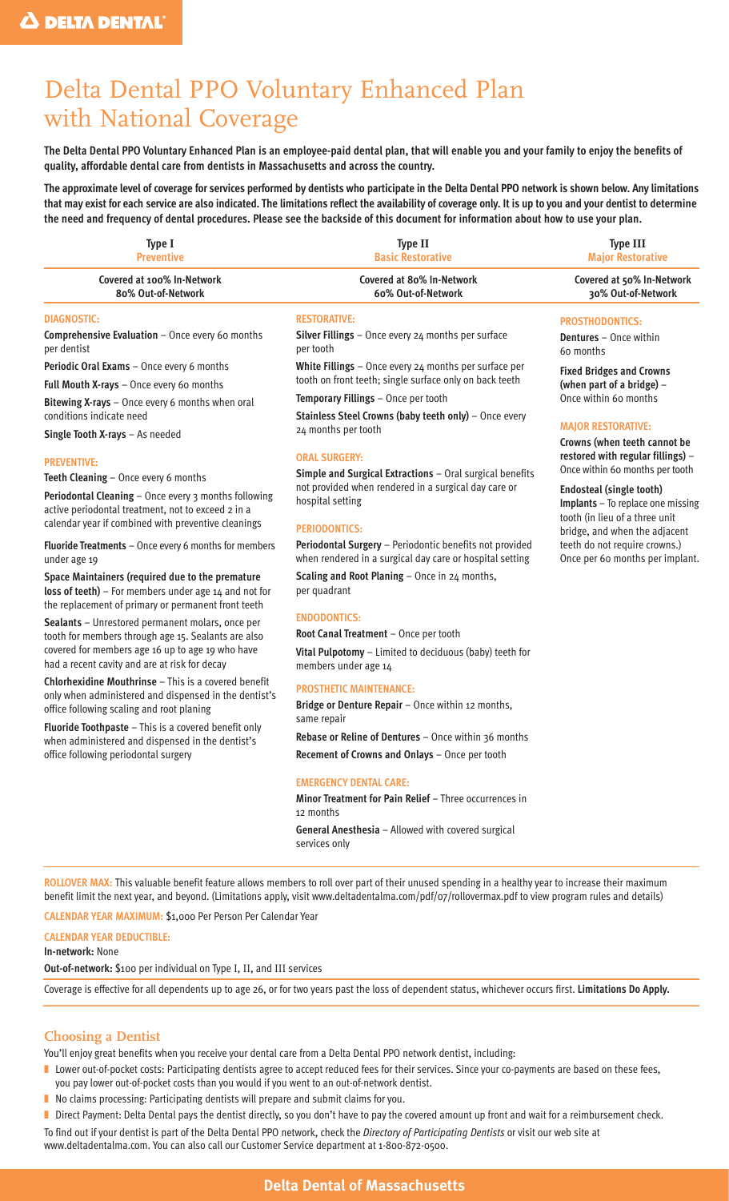# Delta Dental PPO Voluntary Enhanced Plan with National Coverage

**The Delta Dental PPO Voluntary Enhanced Plan is an employee-paid dental plan, that will enable you and your family to enjoy the benefits of quality, affordable dental care from dentists in Massachusetts and across the country.**

**The approximate level of coverage for services performed by dentists who participate in the Delta Dental PPO network is shown below. Any limitations that may exist for each service are also indicated. The limitations reflect the availability of coverage only. It is up to you and your dentist to determine the need and frequency of dental procedures. Please see the backside of this document for information about how to use your plan.**

| Type I<br><b>Preventive</b>                                                                                                                                                                                                                                                                                    | <b>Type II</b><br><b>Basic Restorative</b>                                                                                                                                                                                                                                                              | <b>Type III</b><br><b>Major Restorative</b>                                                                                                                                                                 |
|----------------------------------------------------------------------------------------------------------------------------------------------------------------------------------------------------------------------------------------------------------------------------------------------------------------|---------------------------------------------------------------------------------------------------------------------------------------------------------------------------------------------------------------------------------------------------------------------------------------------------------|-------------------------------------------------------------------------------------------------------------------------------------------------------------------------------------------------------------|
| Covered at 100% In-Network<br>80% Out-of-Network                                                                                                                                                                                                                                                               | Covered at 80% In-Network<br>60% Out-of-Network                                                                                                                                                                                                                                                         | Covered at 50% In-Network<br>30% Out-of-Network                                                                                                                                                             |
| <b>DIAGNOSTIC:</b><br>Comprehensive Evaluation - Once every 60 months<br>per dentist                                                                                                                                                                                                                           | <b>RESTORATIVE:</b><br><b>Silver Fillings</b> $-$ Once every $24$ months per surface<br>per tooth                                                                                                                                                                                                       | <b>PROSTHODONTICS:</b><br><b>Dentures</b> - Once within<br>60 months                                                                                                                                        |
| Periodic Oral Exams - Once every 6 months<br>Full Mouth X-rays - Once every 60 months<br>Bitewing X-rays - Once every 6 months when oral                                                                                                                                                                       | White Fillings - Once every 24 months per surface per<br>tooth on front teeth; single surface only on back teeth<br>Temporary Fillings - Once per tooth                                                                                                                                                 | <b>Fixed Bridges and Crowns</b><br>(when part of a bridge) -<br>Once within 60 months                                                                                                                       |
| conditions indicate need<br>Single Tooth X-rays - As needed<br><b>PREVENTIVE:</b>                                                                                                                                                                                                                              | Stainless Steel Crowns (baby teeth only) - Once every<br>24 months per tooth<br><b>ORAL SURGERY:</b><br>Once within 60 months per tooth<br>Simple and Surgical Extractions - Oral surgical benefits<br>not provided when rendered in a surgical day care or<br>hospital setting<br><b>PERIODONTICS:</b> | <b>MAJOR RESTORATIVE:</b><br>Crowns (when teeth cannot be<br>restored with regular fillings) -                                                                                                              |
| Teeth Cleaning - Once every 6 months<br>Periodontal Cleaning - Once every 3 months following<br>active periodontal treatment, not to exceed 2 in a<br>calendar year if combined with preventive cleanings                                                                                                      |                                                                                                                                                                                                                                                                                                         | <b>Endosteal (single tooth)</b><br>Implants - To replace one missing<br>tooth (in lieu of a three unit<br>bridge, and when the adjacent<br>teeth do not require crowns.)<br>Once per 60 months per implant. |
| Fluoride Treatments - Once every 6 months for members<br>under age 19                                                                                                                                                                                                                                          | Periodontal Surgery - Periodontic benefits not provided<br>when rendered in a surgical day care or hospital setting                                                                                                                                                                                     |                                                                                                                                                                                                             |
| Space Maintainers (required due to the premature<br>loss of teeth) $-$ For members under age $14$ and not for<br>the replacement of primary or permanent front teeth                                                                                                                                           | Scaling and Root Planing - Once in 24 months,<br>per quadrant                                                                                                                                                                                                                                           |                                                                                                                                                                                                             |
| Sealants - Unrestored permanent molars, once per<br>tooth for members through age 15. Sealants are also<br>covered for members age 16 up to age 19 who have<br>had a recent cavity and are at risk for decay                                                                                                   | <b>ENDODONTICS:</b><br>Root Canal Treatment - Once per tooth<br>Vital Pulpotomy - Limited to deciduous (baby) teeth for<br>members under age 14                                                                                                                                                         |                                                                                                                                                                                                             |
| Chlorhexidine Mouthrinse - This is a covered benefit<br>only when administered and dispensed in the dentist's<br>office following scaling and root planing<br>Fluoride Toothpaste - This is a covered benefit only<br>when administered and dispensed in the dentist's<br>office following periodontal surgery | <b>PROSTHETIC MAINTENANCE:</b><br>Bridge or Denture Repair - Once within 12 months,<br>same repair                                                                                                                                                                                                      |                                                                                                                                                                                                             |
|                                                                                                                                                                                                                                                                                                                | Rebase or Reline of Dentures - Once within 36 months<br>Recement of Crowns and Onlays - Once per tooth                                                                                                                                                                                                  |                                                                                                                                                                                                             |
|                                                                                                                                                                                                                                                                                                                | <b>EMERGENCY DENTAL CARE:</b><br>Minor Treatment for Pain Relief - Three occurrences in<br>12 months                                                                                                                                                                                                    |                                                                                                                                                                                                             |

**General Anesthesia** – Allowed with covered surgical services only

**ROLLOVER MAX:** This valuable benefit feature allows members to roll over part of their unused spending in a healthy year to increase their maximum benefit limit the next year, and beyond. (Limitations apply, visit www.deltadentalma.com/pdf/07/rollovermax.pdf to view program rules and details) **CALENDAR YEAR MAXIMUM:** \$1,000 Per Person Per Calendar Year

#### **CALENDAR YEAR DEDUCTIBLE:**

**In-network:** None

**Out-of-network:** \$100 per individual on Type I, II, and III services

Coverage is effective for all dependents up to age 26, or for two years past the loss of dependent status, whichever occurs first. **Limitations Do Apply.**

## **Choosing a Dentist**

You'll enjoy great benefits when you receive your dental care from a Delta Dental PPO network dentist, including:

- Lower out-of-pocket costs: Participating dentists agree to accept reduced fees for their services. Since your co-payments are based on these fees, you pay lower out-of-pocket costs than you would if you went to an out-of-network dentist.
- No claims processing: Participating dentists will prepare and submit claims for you.
- Direct Payment: Delta Dental pays the dentist directly, so you don't have to pay the covered amount up front and wait for a reimbursement check.

To find out if your dentist is part of the Delta Dental PPO network, check the *Directory of Participating Dentists* or visit our web site at www.deltadentalma.com. You can also call our Customer Service department at 1-800-872-0500.